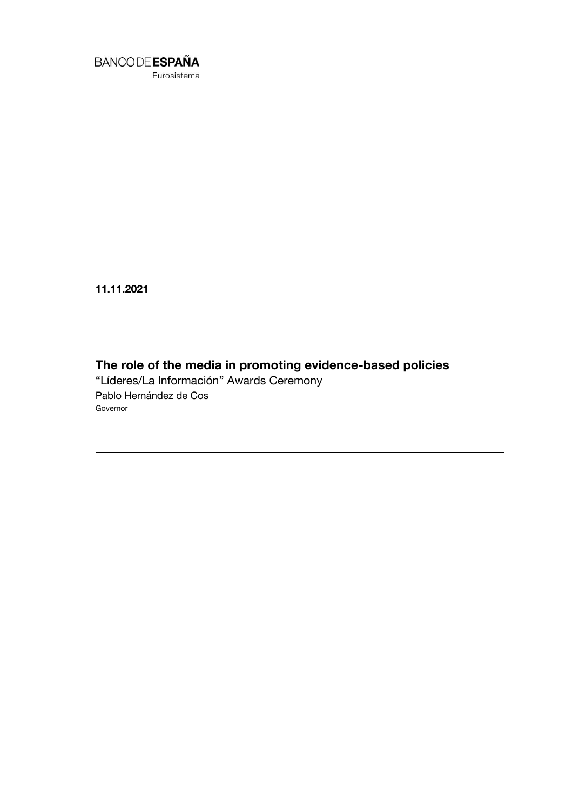

**11.11.2021**

**The role of the media in promoting evidence-based policies** "Líderes/La Información" Awards Ceremony Pablo Hernández de Cos Governor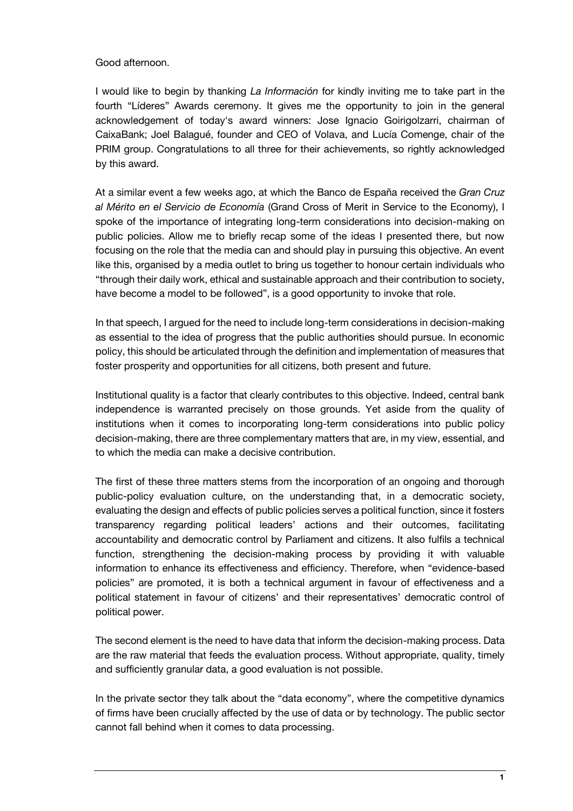## Good afternoon.

I would like to begin by thanking *La Información* for kindly inviting me to take part in the fourth "Líderes" Awards ceremony. It gives me the opportunity to join in the general acknowledgement of today's award winners: Jose Ignacio Goirigolzarri, chairman of CaixaBank; Joel Balagué, founder and CEO of Volava, and Lucía Comenge, chair of the PRIM group. Congratulations to all three for their achievements, so rightly acknowledged by this award.

At a similar event a few weeks ago, at which the Banco de España received the *Gran Cruz al Mérito en el Servicio de Economía* (Grand Cross of Merit in Service to the Economy), I spoke of the importance of integrating long-term considerations into decision-making on public policies. Allow me to briefly recap some of the ideas I presented there, but now focusing on the role that the media can and should play in pursuing this objective. An event like this, organised by a media outlet to bring us together to honour certain individuals who "through their daily work, ethical and sustainable approach and their contribution to society, have become a model to be followed", is a good opportunity to invoke that role.

In that speech, I argued for the need to include long-term considerations in decision-making as essential to the idea of progress that the public authorities should pursue. In economic policy, this should be articulated through the definition and implementation of measures that foster prosperity and opportunities for all citizens, both present and future.

Institutional quality is a factor that clearly contributes to this objective. Indeed, central bank independence is warranted precisely on those grounds. Yet aside from the quality of institutions when it comes to incorporating long-term considerations into public policy decision-making, there are three complementary matters that are, in my view, essential, and to which the media can make a decisive contribution.

The first of these three matters stems from the incorporation of an ongoing and thorough public-policy evaluation culture, on the understanding that, in a democratic society, evaluating the design and effects of public policies serves a political function, since it fosters transparency regarding political leaders' actions and their outcomes, facilitating accountability and democratic control by Parliament and citizens. It also fulfils a technical function, strengthening the decision-making process by providing it with valuable information to enhance its effectiveness and efficiency. Therefore, when "evidence-based policies" are promoted, it is both a technical argument in favour of effectiveness and a political statement in favour of citizens' and their representatives' democratic control of political power.

The second element is the need to have data that inform the decision-making process. Data are the raw material that feeds the evaluation process. Without appropriate, quality, timely and sufficiently granular data, a good evaluation is not possible.

In the private sector they talk about the "data economy", where the competitive dynamics of firms have been crucially affected by the use of data or by technology. The public sector cannot fall behind when it comes to data processing.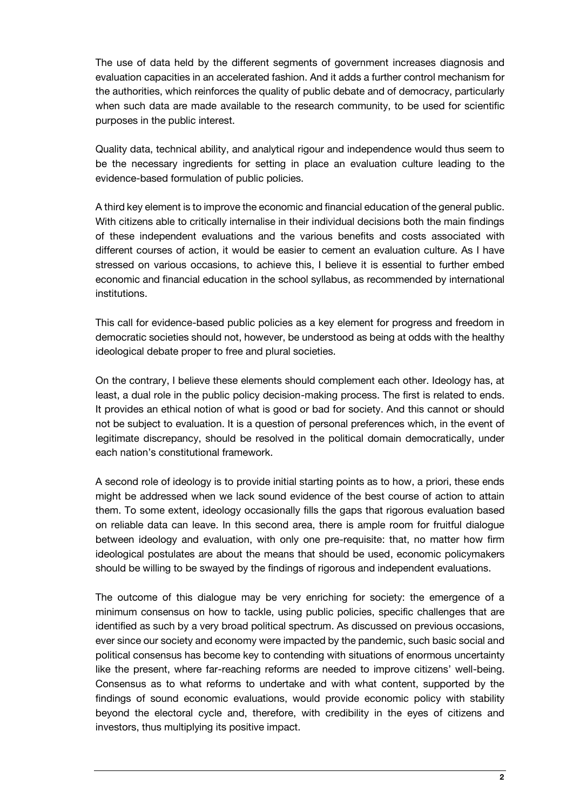The use of data held by the different segments of government increases diagnosis and evaluation capacities in an accelerated fashion. And it adds a further control mechanism for the authorities, which reinforces the quality of public debate and of democracy, particularly when such data are made available to the research community, to be used for scientific purposes in the public interest.

Quality data, technical ability, and analytical rigour and independence would thus seem to be the necessary ingredients for setting in place an evaluation culture leading to the evidence-based formulation of public policies.

A third key element is to improve the economic and financial education of the general public. With citizens able to critically internalise in their individual decisions both the main findings of these independent evaluations and the various benefits and costs associated with different courses of action, it would be easier to cement an evaluation culture. As I have stressed on various occasions, to achieve this, I believe it is essential to further embed economic and financial education in the school syllabus, as recommended by international institutions.

This call for evidence-based public policies as a key element for progress and freedom in democratic societies should not, however, be understood as being at odds with the healthy ideological debate proper to free and plural societies.

On the contrary, I believe these elements should complement each other. Ideology has, at least, a dual role in the public policy decision-making process. The first is related to ends. It provides an ethical notion of what is good or bad for society. And this cannot or should not be subject to evaluation. It is a question of personal preferences which, in the event of legitimate discrepancy, should be resolved in the political domain democratically, under each nation's constitutional framework.

A second role of ideology is to provide initial starting points as to how, a priori, these ends might be addressed when we lack sound evidence of the best course of action to attain them. To some extent, ideology occasionally fills the gaps that rigorous evaluation based on reliable data can leave. In this second area, there is ample room for fruitful dialogue between ideology and evaluation, with only one pre-requisite: that, no matter how firm ideological postulates are about the means that should be used, economic policymakers should be willing to be swayed by the findings of rigorous and independent evaluations.

The outcome of this dialogue may be very enriching for society: the emergence of a minimum consensus on how to tackle, using public policies, specific challenges that are identified as such by a very broad political spectrum. As discussed on previous occasions, ever since our society and economy were impacted by the pandemic, such basic social and political consensus has become key to contending with situations of enormous uncertainty like the present, where far-reaching reforms are needed to improve citizens' well-being. Consensus as to what reforms to undertake and with what content, supported by the findings of sound economic evaluations, would provide economic policy with stability beyond the electoral cycle and, therefore, with credibility in the eyes of citizens and investors, thus multiplying its positive impact.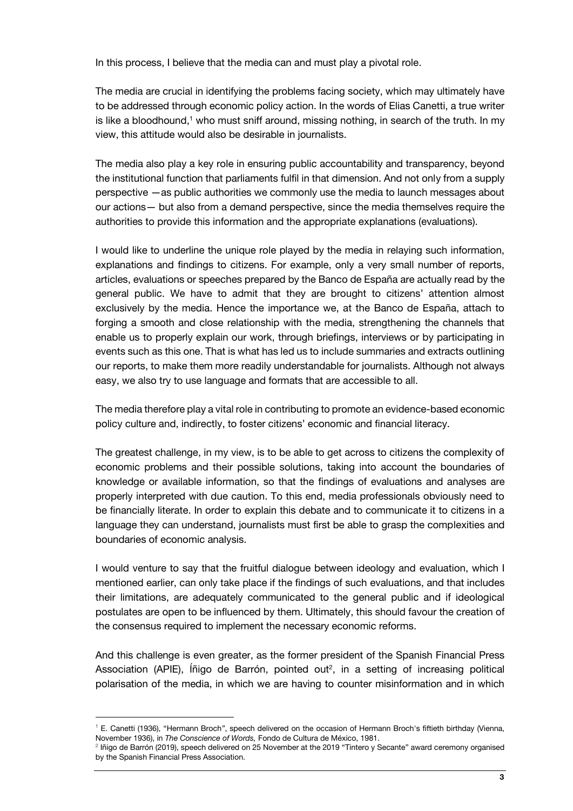In this process, I believe that the media can and must play a pivotal role.

The media are crucial in identifying the problems facing society, which may ultimately have to be addressed through economic policy action. In the words of Elias Canetti, a true writer is like a bloodhound,<sup>1</sup> who must sniff around, missing nothing, in search of the truth. In my view, this attitude would also be desirable in journalists.

The media also play a key role in ensuring public accountability and transparency, beyond the institutional function that parliaments fulfil in that dimension. And not only from a supply perspective —as public authorities we commonly use the media to launch messages about our actions— but also from a demand perspective, since the media themselves require the authorities to provide this information and the appropriate explanations (evaluations).

I would like to underline the unique role played by the media in relaying such information, explanations and findings to citizens. For example, only a very small number of reports, articles, evaluations or speeches prepared by the Banco de España are actually read by the general public. We have to admit that they are brought to citizens' attention almost exclusively by the media. Hence the importance we, at the Banco de España, attach to forging a smooth and close relationship with the media, strengthening the channels that enable us to properly explain our work, through briefings, interviews or by participating in events such as this one. That is what has led us to include summaries and extracts outlining our reports, to make them more readily understandable for journalists. Although not always easy, we also try to use language and formats that are accessible to all.

The media therefore play a vital role in contributing to promote an evidence-based economic policy culture and, indirectly, to foster citizens' economic and financial literacy.

The greatest challenge, in my view, is to be able to get across to citizens the complexity of economic problems and their possible solutions, taking into account the boundaries of knowledge or available information, so that the findings of evaluations and analyses are properly interpreted with due caution. To this end, media professionals obviously need to be financially literate. In order to explain this debate and to communicate it to citizens in a language they can understand, journalists must first be able to grasp the complexities and boundaries of economic analysis.

I would venture to say that the fruitful dialogue between ideology and evaluation, which I mentioned earlier, can only take place if the findings of such evaluations, and that includes their limitations, are adequately communicated to the general public and if ideological postulates are open to be influenced by them. Ultimately, this should favour the creation of the consensus required to implement the necessary economic reforms.

And this challenge is even greater, as the former president of the Spanish Financial Press Association (APIE), Iñigo de Barrón, pointed out<sup>2</sup>, in a setting of increasing political polarisation of the media, in which we are having to counter misinformation and in which

l

<sup>1</sup> E. Canetti (1936), "Hermann Broch*"*, speech delivered on the occasion of Hermann Broch's fiftieth birthday (Vienna, November 1936), in *The Conscience of Words,* Fondo de Cultura de México, 1981.

<sup>2</sup> Iñigo de Barrón (2019), speech delivered on 25 November at the 2019 "Tintero y Secante" award ceremony organised by the Spanish Financial Press Association.